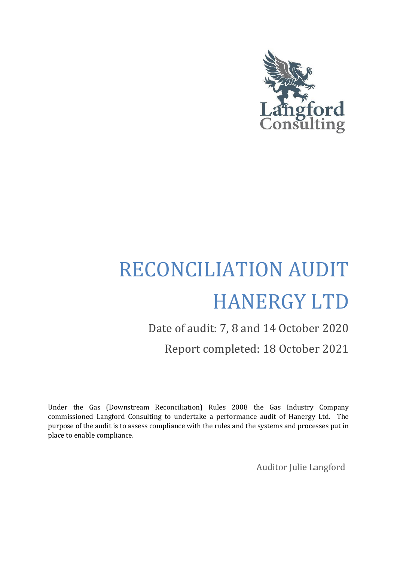

# RECONCILIATION AUDIT HANERGY LTD

# Date of audit: 7, 8 and 14 October 2020 Report completed: 18 October 2021

Under the Gas (Downstream Reconciliation) Rules 2008 the Gas Industry Company commissioned Langford Consulting to undertake a performance audit of Hanergy Ltd. The purpose of the audit is to assess compliance with the rules and the systems and processes put in place to enable compliance.

Auditor Julie Langford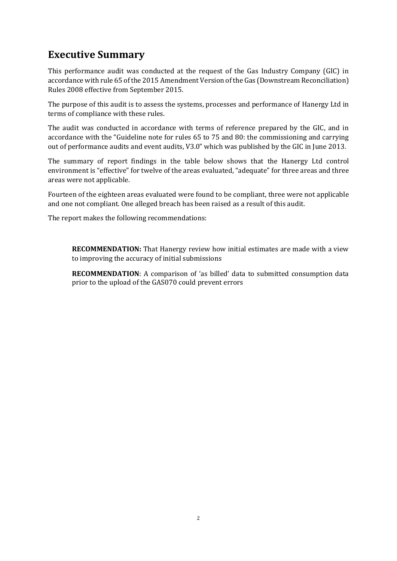## <span id="page-1-0"></span>**Executive Summary**

This performance audit was conducted at the request of the Gas Industry Company (GIC) in accordance with rule 65 of the 2015 Amendment Version of the Gas (Downstream Reconciliation) Rules 2008 effective from September 2015.

The purpose of this audit is to assess the systems, processes and performance of Hanergy Ltd in terms of compliance with these rules.

The audit was conducted in accordance with terms of reference prepared by the GIC, and in accordance with the "Guideline note for rules 65 to 75 and 80: the commissioning and carrying out of performance audits and event audits, V3.0" which was published by the GIC in June 2013.

The summary of report findings in the table below shows that the Hanergy Ltd control environment is "effective" for twelve of the areas evaluated, "adequate" for three areas and three areas were not applicable.

Fourteen of the eighteen areas evaluated were found to be compliant, three were not applicable and one not compliant. One alleged breach has been raised as a result of this audit.

The report makes the following recommendations:

**RECOMMENDATION:** That Hanergy review how initial estimates are made with a view to improving the accuracy of initial submissions

**RECOMMENDATION**: A comparison of 'as billed' data to submitted consumption data prior to the upload of the GAS070 could prevent errors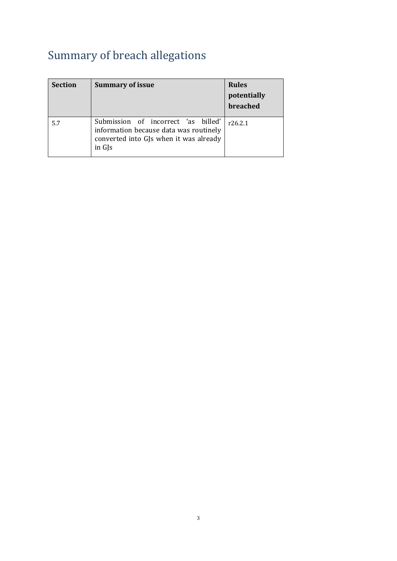# <span id="page-2-0"></span>Summary of breach allegations

| <b>Section</b> | <b>Summary of issue</b>                                                                                                                       | <b>Rules</b><br>potentially<br>breached |
|----------------|-----------------------------------------------------------------------------------------------------------------------------------------------|-----------------------------------------|
| 5.7            | Submission of incorrect 'as billed'<br>information because data was routinely<br>converted into GJs when it was already<br>in G <sub>IS</sub> | r26.2.1                                 |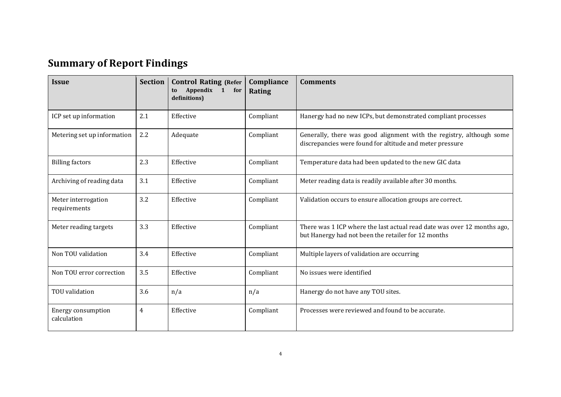# **Summary of Report Findings**

<span id="page-3-0"></span>

| <b>Issue</b>                        | <b>Section</b> | <b>Control Rating (Refer</b><br>Appendix 1 for<br>to<br>definitions) | Compliance<br>Rating | <b>Comments</b>                                                                                                                  |
|-------------------------------------|----------------|----------------------------------------------------------------------|----------------------|----------------------------------------------------------------------------------------------------------------------------------|
| ICP set up information              | 2.1            | Effective                                                            | Compliant            | Hanergy had no new ICPs, but demonstrated compliant processes                                                                    |
| Metering set up information         | 2.2            | Adequate                                                             | Compliant            | Generally, there was good alignment with the registry, although some<br>discrepancies were found for altitude and meter pressure |
| <b>Billing factors</b>              | 2.3            | Effective                                                            | Compliant            | Temperature data had been updated to the new GIC data                                                                            |
| Archiving of reading data           | 3.1            | Effective                                                            | Compliant            | Meter reading data is readily available after 30 months.                                                                         |
| Meter interrogation<br>requirements | 3.2            | Effective                                                            | Compliant            | Validation occurs to ensure allocation groups are correct.                                                                       |
| Meter reading targets               | 3.3            | Effective                                                            | Compliant            | There was 1 ICP where the last actual read date was over 12 months ago,<br>but Hanergy had not been the retailer for 12 months   |
| Non TOU validation                  | 3.4            | Effective                                                            | Compliant            | Multiple layers of validation are occurring                                                                                      |
| Non TOU error correction            | 3.5            | Effective                                                            | Compliant            | No issues were identified                                                                                                        |
| TOU validation                      | 3.6            | n/a                                                                  | n/a                  | Hanergy do not have any TOU sites.                                                                                               |
| Energy consumption<br>calculation   | 4              | Effective                                                            | Compliant            | Processes were reviewed and found to be accurate.                                                                                |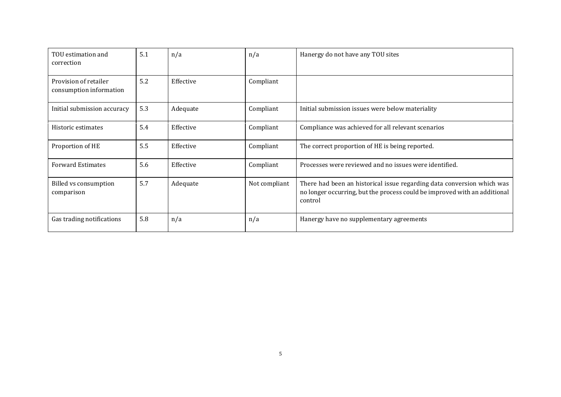| TOU estimation and<br>correction                 | 5.1 | n/a       | n/a           | Hanergy do not have any TOU sites                                                                                                                              |
|--------------------------------------------------|-----|-----------|---------------|----------------------------------------------------------------------------------------------------------------------------------------------------------------|
| Provision of retailer<br>consumption information | 5.2 | Effective | Compliant     |                                                                                                                                                                |
| Initial submission accuracy                      | 5.3 | Adequate  | Compliant     | Initial submission issues were below materiality                                                                                                               |
| Historic estimates                               | 5.4 | Effective | Compliant     | Compliance was achieved for all relevant scenarios                                                                                                             |
| Proportion of HE                                 | 5.5 | Effective | Compliant     | The correct proportion of HE is being reported.                                                                                                                |
| <b>Forward Estimates</b>                         | 5.6 | Effective | Compliant     | Processes were reviewed and no issues were identified.                                                                                                         |
| Billed vs consumption<br>comparison              | 5.7 | Adequate  | Not compliant | There had been an historical issue regarding data conversion which was<br>no longer occurring, but the process could be improved with an additional<br>control |
| Gas trading notifications                        | 5.8 | n/a       | n/a           | Hanergy have no supplementary agreements                                                                                                                       |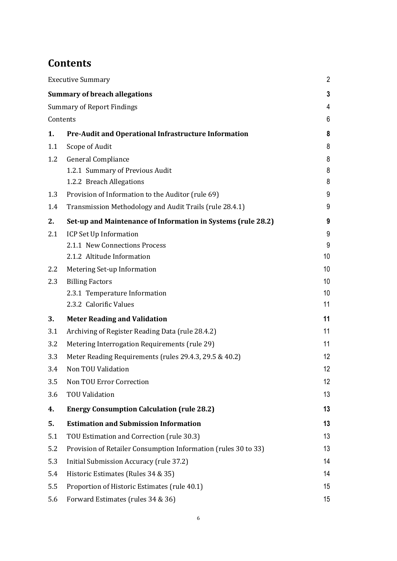# <span id="page-5-0"></span>**Contents**

|          | <b>Executive Summary</b>                                       | $\overline{2}$  |
|----------|----------------------------------------------------------------|-----------------|
|          | <b>Summary of breach allegations</b>                           | 3               |
|          | <b>Summary of Report Findings</b>                              | 4               |
| Contents |                                                                | 6               |
| 1.       | <b>Pre-Audit and Operational Infrastructure Information</b>    | 8               |
| 1.1      | Scope of Audit                                                 | 8               |
| 1.2      | General Compliance                                             | 8               |
|          | 1.2.1 Summary of Previous Audit                                | 8               |
|          | 1.2.2 Breach Allegations                                       | 8               |
| 1.3      | Provision of Information to the Auditor (rule 69)              | 9               |
| 1.4      | Transmission Methodology and Audit Trails (rule 28.4.1)        | 9               |
| 2.       | Set-up and Maintenance of Information in Systems (rule 28.2)   | 9               |
| 2.1      | ICP Set Up Information                                         | 9               |
|          | 2.1.1 New Connections Process                                  | 9               |
|          | 2.1.2 Altitude Information                                     | 10              |
| 2.2      | Metering Set-up Information                                    | 10 <sup>°</sup> |
| 2.3      | <b>Billing Factors</b>                                         | 10              |
|          | 2.3.1 Temperature Information                                  | 10 <sup>°</sup> |
|          | 2.3.2 Calorific Values                                         | 11              |
| 3.       | <b>Meter Reading and Validation</b>                            | 11              |
| 3.1      | Archiving of Register Reading Data (rule 28.4.2)               | 11              |
| 3.2      | Metering Interrogation Requirements (rule 29)                  | 11              |
| 3.3      | Meter Reading Requirements (rules 29.4.3, 29.5 & 40.2)         | 12              |
| 3.4      | Non TOU Validation                                             | 12              |
| 3.5      | Non TOU Error Correction                                       | 12              |
| 3.6      | <b>TOU Validation</b>                                          | 13              |
| 4.       | <b>Energy Consumption Calculation (rule 28.2)</b>              | 13              |
| 5.       | <b>Estimation and Submission Information</b>                   | 13              |
| 5.1      | TOU Estimation and Correction (rule 30.3)                      | 13              |
| 5.2      | Provision of Retailer Consumption Information (rules 30 to 33) | 13              |
| 5.3      | Initial Submission Accuracy (rule 37.2)                        | 14              |
| 5.4      | Historic Estimates (Rules 34 & 35)                             | 14              |
| 5.5      | Proportion of Historic Estimates (rule 40.1)                   | 15              |
| 5.6      | Forward Estimates (rules 34 & 36)                              | 15              |
|          |                                                                |                 |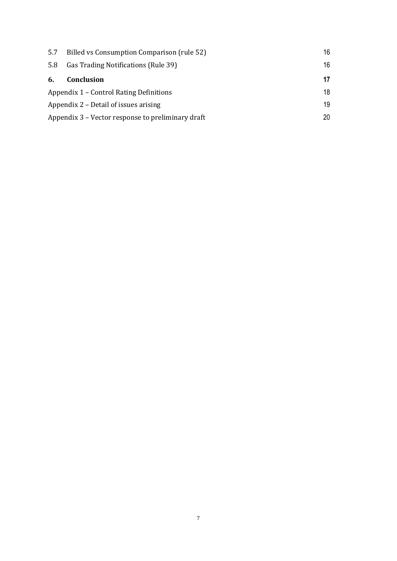| 5.7 | Billed vs Consumption Comparison (rule 52)        | 16 |
|-----|---------------------------------------------------|----|
| 5.8 | Gas Trading Notifications (Rule 39)               | 16 |
| 6.  | <b>Conclusion</b>                                 | 17 |
|     | Appendix 1 – Control Rating Definitions           | 18 |
|     | Appendix 2 – Detail of issues arising             |    |
|     | Appendix 3 – Vector response to preliminary draft |    |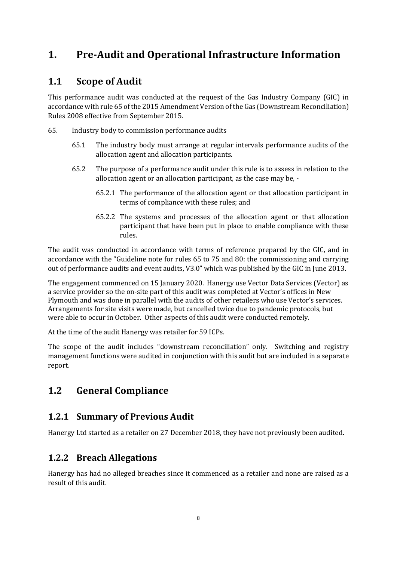## <span id="page-7-0"></span>**1. Pre-Audit and Operational Infrastructure Information**

#### <span id="page-7-1"></span>**1.1 Scope of Audit**

This performance audit was conducted at the request of the Gas Industry Company (GIC) in accordance with rule 65 of the 2015 Amendment Version of the Gas (Downstream Reconciliation) Rules 2008 effective from September 2015.

- 65. Industry body to commission performance audits
	- 65.1 The industry body must arrange at regular intervals performance audits of the allocation agent and allocation participants.
	- 65.2 The purpose of a performance audit under this rule is to assess in relation to the allocation agent or an allocation participant, as the case may be, -
		- 65.2.1 The performance of the allocation agent or that allocation participant in terms of compliance with these rules; and
		- 65.2.2 The systems and processes of the allocation agent or that allocation participant that have been put in place to enable compliance with these rules.

The audit was conducted in accordance with terms of reference prepared by the GIC, and in accordance with the "Guideline note for rules 65 to 75 and 80: the commissioning and carrying out of performance audits and event audits, V3.0" which was published by the GIC in June 2013.

The engagement commenced on 15 January 2020. Hanergy use Vector Data Services (Vector) as a service provider so the on-site part of this audit was completed at Vector's offices in New Plymouth and was done in parallel with the audits of other retailers who use Vector's services. Arrangements for site visits were made, but cancelled twice due to pandemic protocols, but were able to occur in October. Other aspects of this audit were conducted remotely.

At the time of the audit Hanergy was retailer for 59 ICPs.

The scope of the audit includes "downstream reconciliation" only. Switching and registry management functions were audited in conjunction with this audit but are included in a separate report.

### <span id="page-7-2"></span>**1.2 General Compliance**

#### <span id="page-7-3"></span>**1.2.1 Summary of Previous Audit**

Hanergy Ltd started as a retailer on 27 December 2018, they have not previously been audited.

#### <span id="page-7-4"></span>**1.2.2 Breach Allegations**

Hanergy has had no alleged breaches since it commenced as a retailer and none are raised as a result of this audit.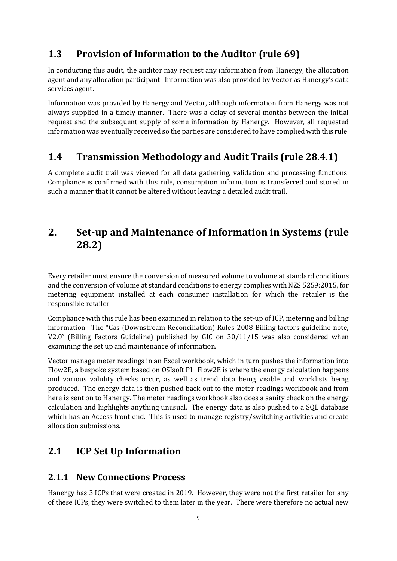#### <span id="page-8-0"></span>**1.3 Provision of Information to the Auditor (rule 69)**

In conducting this audit, the auditor may request any information from Hanergy, the allocation agent and any allocation participant. Information was also provided by Vector as Hanergy's data services agent.

Information was provided by Hanergy and Vector, although information from Hanergy was not always supplied in a timely manner. There was a delay of several months between the initial request and the subsequent supply of some information by Hanergy. However, all requested information was eventually received so the parties are considered to have complied with this rule.

#### <span id="page-8-1"></span>**1.4 Transmission Methodology and Audit Trails (rule 28.4.1)**

A complete audit trail was viewed for all data gathering, validation and processing functions. Compliance is confirmed with this rule, consumption information is transferred and stored in such a manner that it cannot be altered without leaving a detailed audit trail.

## <span id="page-8-2"></span>**2. Set-up and Maintenance of Information in Systems (rule 28.2)**

Every retailer must ensure the conversion of measured volume to volume at standard conditions and the conversion of volume at standard conditions to energy complies with NZS 5259:2015, for metering equipment installed at each consumer installation for which the retailer is the responsible retailer.

Compliance with this rule has been examined in relation to the set-up of ICP, metering and billing information. The "Gas (Downstream Reconciliation) Rules 2008 Billing factors guideline note, V2.0" (Billing Factors Guideline) published by GIC on 30/11/15 was also considered when examining the set up and maintenance of information.

Vector manage meter readings in an Excel workbook, which in turn pushes the information into Flow2E, a bespoke system based on OSIsoft PI. Flow2E is where the energy calculation happens and various validity checks occur, as well as trend data being visible and worklists being produced. The energy data is then pushed back out to the meter readings workbook and from here is sent on to Hanergy. The meter readings workbook also does a sanity check on the energy calculation and highlights anything unusual. The energy data is also pushed to a SQL database which has an Access front end. This is used to manage registry/switching activities and create allocation submissions.

### <span id="page-8-3"></span>**2.1 ICP Set Up Information**

#### <span id="page-8-4"></span>**2.1.1 New Connections Process**

Hanergy has 3 ICPs that were created in 2019. However, they were not the first retailer for any of these ICPs, they were switched to them later in the year. There were therefore no actual new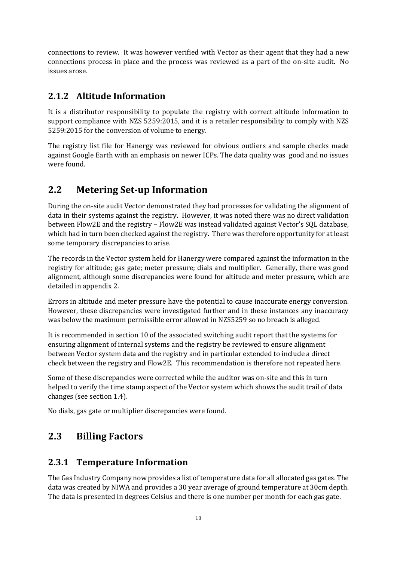connections to review. It was however verified with Vector as their agent that they had a new connections process in place and the process was reviewed as a part of the on-site audit. No issues arose.

#### <span id="page-9-0"></span>**2.1.2 Altitude Information**

It is a distributor responsibility to populate the registry with correct altitude information to support compliance with NZS 5259:2015, and it is a retailer responsibility to comply with NZS 5259:2015 for the conversion of volume to energy.

The registry list file for Hanergy was reviewed for obvious outliers and sample checks made against Google Earth with an emphasis on newer ICPs. The data quality was good and no issues were found.

#### <span id="page-9-1"></span>**2.2 Metering Set-up Information**

During the on-site audit Vector demonstrated they had processes for validating the alignment of data in their systems against the registry. However, it was noted there was no direct validation between Flow2E and the registry – Flow2E was instead validated against Vector's SQL database, which had in turn been checked against the registry. There was therefore opportunity for at least some temporary discrepancies to arise.

The records in the Vector system held for Hanergy were compared against the information in the registry for altitude; gas gate; meter pressure; dials and multiplier. Generally, there was good alignment, although some discrepancies were found for altitude and meter pressure, which are detailed in appendix 2.

Errors in altitude and meter pressure have the potential to cause inaccurate energy conversion. However, these discrepancies were investigated further and in these instances any inaccuracy was below the maximum permissible error allowed in NZS5259 so no breach is alleged.

It is recommended in section 10 of the associated switching audit report that the systems for ensuring alignment of internal systems and the registry be reviewed to ensure alignment between Vector system data and the registry and in particular extended to include a direct check between the registry and Flow2E. This recommendation is therefore not repeated here.

Some of these discrepancies were corrected while the auditor was on-site and this in turn helped to verify the time stamp aspect of the Vector system which shows the audit trail of data changes (see section 1.4).

No dials, gas gate or multiplier discrepancies were found.

#### <span id="page-9-2"></span>**2.3 Billing Factors**

#### <span id="page-9-3"></span>**2.3.1 Temperature Information**

The Gas Industry Company now provides a list of temperature data for all allocated gas gates. The data was created by NIWA and provides a 30 year average of ground temperature at 30cm depth. The data is presented in degrees Celsius and there is one number per month for each gas gate.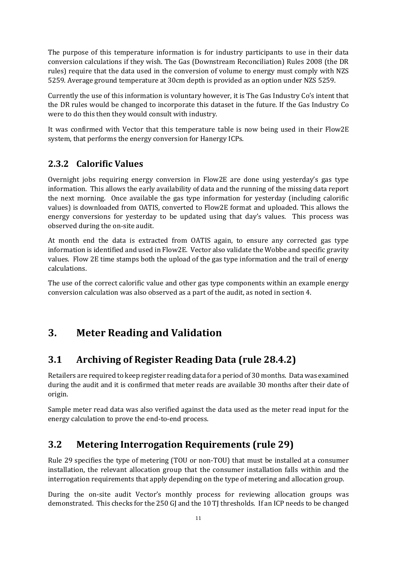The purpose of this temperature information is for industry participants to use in their data conversion calculations if they wish. The Gas (Downstream Reconciliation) Rules 2008 (the DR rules) require that the data used in the conversion of volume to energy must comply with NZS 5259. Average ground temperature at 30cm depth is provided as an option under NZS 5259.

Currently the use of this information is voluntary however, it is The Gas Industry Co's intent that the DR rules would be changed to incorporate this dataset in the future. If the Gas Industry Co were to do this then they would consult with industry.

It was confirmed with Vector that this temperature table is now being used in their Flow2E system, that performs the energy conversion for Hanergy ICPs.

#### <span id="page-10-0"></span>**2.3.2 Calorific Values**

Overnight jobs requiring energy conversion in Flow2E are done using yesterday's gas type information. This allows the early availability of data and the running of the missing data report the next morning. Once available the gas type information for yesterday (including calorific values) is downloaded from OATIS, converted to Flow2E format and uploaded. This allows the energy conversions for yesterday to be updated using that day's values. This process was observed during the on-site audit.

At month end the data is extracted from OATIS again, to ensure any corrected gas type information is identified and used in Flow2E. Vector also validate the Wobbe and specific gravity values. Flow 2E time stamps both the upload of the gas type information and the trail of energy calculations.

The use of the correct calorific value and other gas type components within an example energy conversion calculation was also observed as a part of the audit, as noted in section 4.

### <span id="page-10-1"></span>**3. Meter Reading and Validation**

### <span id="page-10-2"></span>**3.1 Archiving of Register Reading Data (rule 28.4.2)**

Retailers are required to keep register reading data for a period of 30 months. Data was examined during the audit and it is confirmed that meter reads are available 30 months after their date of origin.

Sample meter read data was also verified against the data used as the meter read input for the energy calculation to prove the end-to-end process.

### <span id="page-10-3"></span>**3.2 Metering Interrogation Requirements (rule 29)**

Rule 29 specifies the type of metering (TOU or non-TOU) that must be installed at a consumer installation, the relevant allocation group that the consumer installation falls within and the interrogation requirements that apply depending on the type of metering and allocation group.

During the on-site audit Vector's monthly process for reviewing allocation groups was demonstrated. This checks for the 250 GJ and the 10 TJ thresholds. If an ICP needs to be changed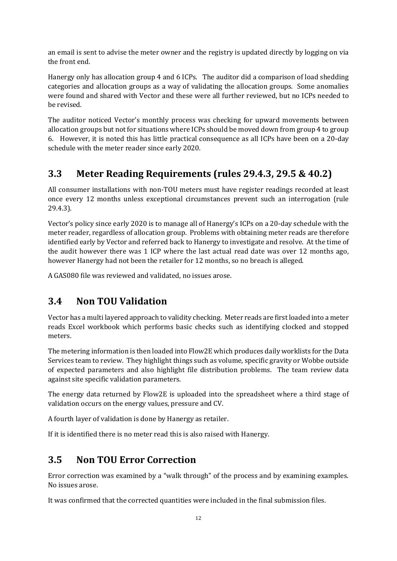an email is sent to advise the meter owner and the registry is updated directly by logging on via the front end.

Hanergy only has allocation group 4 and 6 ICPs. The auditor did a comparison of load shedding categories and allocation groups as a way of validating the allocation groups. Some anomalies were found and shared with Vector and these were all further reviewed, but no ICPs needed to be revised.

The auditor noticed Vector's monthly process was checking for upward movements between allocation groups but not for situations where ICPs should be moved down from group 4 to group 6. However, it is noted this has little practical consequence as all ICPs have been on a 20-day schedule with the meter reader since early 2020.

#### <span id="page-11-0"></span>**3.3 Meter Reading Requirements (rules 29.4.3, 29.5 & 40.2)**

All consumer installations with non-TOU meters must have register readings recorded at least once every 12 months unless exceptional circumstances prevent such an interrogation (rule 29.4.3).

Vector's policy since early 2020 is to manage all of Hanergy's ICPs on a 20-day schedule with the meter reader, regardless of allocation group. Problems with obtaining meter reads are therefore identified early by Vector and referred back to Hanergy to investigate and resolve. At the time of the audit however there was 1 ICP where the last actual read date was over 12 months ago, however Hanergy had not been the retailer for 12 months, so no breach is alleged.

A GAS080 file was reviewed and validated, no issues arose.

#### <span id="page-11-1"></span>**3.4 Non TOU Validation**

Vector has a multi layered approach to validity checking. Meter reads are first loaded into a meter reads Excel workbook which performs basic checks such as identifying clocked and stopped meters.

The metering information is then loaded into Flow2E which produces daily worklists for the Data Services team to review. They highlight things such as volume, specific gravity or Wobbe outside of expected parameters and also highlight file distribution problems. The team review data against site specific validation parameters.

The energy data returned by Flow2E is uploaded into the spreadsheet where a third stage of validation occurs on the energy values, pressure and CV.

A fourth layer of validation is done by Hanergy as retailer.

If it is identified there is no meter read this is also raised with Hanergy.

#### <span id="page-11-2"></span>**3.5 Non TOU Error Correction**

Error correction was examined by a "walk through" of the process and by examining examples. No issues arose.

It was confirmed that the corrected quantities were included in the final submission files.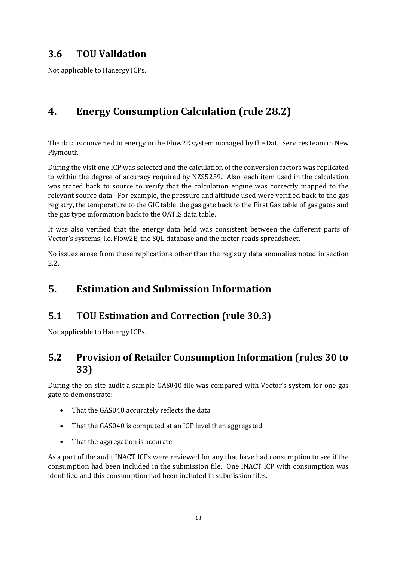#### <span id="page-12-0"></span>**3.6 TOU Validation**

Not applicable to Hanergy ICPs.

# <span id="page-12-1"></span>**4. Energy Consumption Calculation (rule 28.2)**

The data is converted to energy in the Flow2E system managed by the Data Services team in New Plymouth.

During the visit one ICP was selected and the calculation of the conversion factors was replicated to within the degree of accuracy required by NZS5259. Also, each item used in the calculation was traced back to source to verify that the calculation engine was correctly mapped to the relevant source data. For example, the pressure and altitude used were verified back to the gas registry, the temperature to the GIC table, the gas gate back to the First Gas table of gas gates and the gas type information back to the OATIS data table.

It was also verified that the energy data held was consistent between the different parts of Vector's systems, i.e. Flow2E, the SQL database and the meter reads spreadsheet.

No issues arose from these replications other than the registry data anomalies noted in section 2.2.

### <span id="page-12-2"></span>**5. Estimation and Submission Information**

#### <span id="page-12-3"></span>**5.1 TOU Estimation and Correction (rule 30.3)**

Not applicable to Hanergy ICPs.

#### <span id="page-12-4"></span>**5.2 Provision of Retailer Consumption Information (rules 30 to 33)**

During the on-site audit a sample GAS040 file was compared with Vector's system for one gas gate to demonstrate:

- That the GAS040 accurately reflects the data
- That the GAS040 is computed at an ICP level then aggregated
- That the aggregation is accurate

As a part of the audit INACT ICPs were reviewed for any that have had consumption to see if the consumption had been included in the submission file. One INACT ICP with consumption was identified and this consumption had been included in submission files.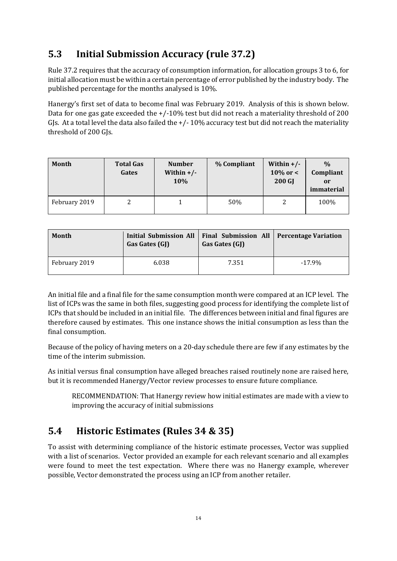## <span id="page-13-0"></span>**5.3 Initial Submission Accuracy (rule 37.2)**

Rule 37.2 requires that the accuracy of consumption information, for allocation groups 3 to 6, for initial allocation must be within a certain percentage of error published by the industry body. The published percentage for the months analysed is 10%.

Hanergy's first set of data to become final was February 2019. Analysis of this is shown below. Data for one gas gate exceeded the +/-10% test but did not reach a materiality threshold of 200 GJs. At a total level the data also failed the  $+/-10\%$  accuracy test but did not reach the materiality threshold of 200 GJs.

| Month         | <b>Total Gas</b><br>Gates | <b>Number</b><br>Within $+/-$<br><b>10%</b> | % Compliant | Within $+/-$<br>$10\%$ or <<br><b>200 GJ</b> | $\%$<br>Compliant<br>or<br>immaterial |
|---------------|---------------------------|---------------------------------------------|-------------|----------------------------------------------|---------------------------------------|
| February 2019 |                           |                                             | 50%         |                                              | 100%                                  |

| <b>Month</b>  | Gas Gates (GJ) | Initial Submission All   Final Submission All   Percentage Variation<br>Gas Gates (GJ) |           |
|---------------|----------------|----------------------------------------------------------------------------------------|-----------|
| February 2019 | 6.038          | 7.351                                                                                  | $-17.9\%$ |

An initial file and a final file for the same consumption month were compared at an ICP level. The list of ICPs was the same in both files, suggesting good process for identifying the complete list of ICPs that should be included in an initial file. The differences between initial and final figures are therefore caused by estimates. This one instance shows the initial consumption as less than the final consumption.

Because of the policy of having meters on a 20-day schedule there are few if any estimates by the time of the interim submission.

As initial versus final consumption have alleged breaches raised routinely none are raised here, but it is recommended Hanergy/Vector review processes to ensure future compliance.

RECOMMENDATION: That Hanergy review how initial estimates are made with a view to improving the accuracy of initial submissions

#### <span id="page-13-1"></span>**5.4 Historic Estimates (Rules 34 & 35)**

To assist with determining compliance of the historic estimate processes, Vector was supplied with a list of scenarios. Vector provided an example for each relevant scenario and all examples were found to meet the test expectation. Where there was no Hanergy example, wherever possible, Vector demonstrated the process using an ICP from another retailer.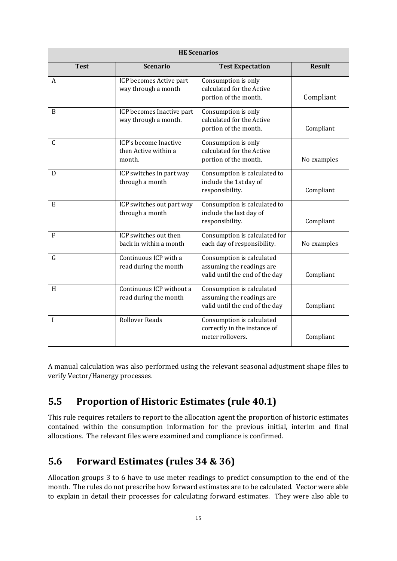| <b>HE Scenarios</b> |                                                         |                                                                                          |               |  |
|---------------------|---------------------------------------------------------|------------------------------------------------------------------------------------------|---------------|--|
| <b>Test</b>         | <b>Scenario</b>                                         | <b>Test Expectation</b>                                                                  | <b>Result</b> |  |
| A                   | ICP becomes Active part<br>way through a month          | Consumption is only<br>calculated for the Active<br>portion of the month.                | Compliant     |  |
| B                   | ICP becomes Inactive part<br>way through a month.       | Consumption is only<br>calculated for the Active<br>portion of the month.                | Compliant     |  |
| $\mathsf{C}$        | ICP's become Inactive<br>then Active within a<br>month. | Consumption is only<br>calculated for the Active<br>portion of the month.                | No examples   |  |
| D                   | ICP switches in part way<br>through a month             | Consumption is calculated to<br>include the 1st day of<br>responsibility.                | Compliant     |  |
| E                   | ICP switches out part way<br>through a month            | Consumption is calculated to<br>include the last day of<br>responsibility.               | Compliant     |  |
| $\overline{F}$      | ICP switches out then<br>back in within a month         | Consumption is calculated for<br>each day of responsibility.                             | No examples   |  |
| G                   | Continuous ICP with a<br>read during the month          | Consumption is calculated<br>assuming the readings are<br>valid until the end of the day | Compliant     |  |
| H                   | Continuous ICP without a<br>read during the month       | Consumption is calculated<br>assuming the readings are<br>valid until the end of the day | Compliant     |  |
| $\mathbf I$         | <b>Rollover Reads</b>                                   | Consumption is calculated<br>correctly in the instance of<br>meter rollovers.            | Compliant     |  |

A manual calculation was also performed using the relevant seasonal adjustment shape files to verify Vector/Hanergy processes.

### <span id="page-14-0"></span>**5.5 Proportion of Historic Estimates (rule 40.1)**

This rule requires retailers to report to the allocation agent the proportion of historic estimates contained within the consumption information for the previous initial, interim and final allocations. The relevant files were examined and compliance is confirmed.

### <span id="page-14-1"></span>**5.6 Forward Estimates (rules 34 & 36)**

Allocation groups 3 to 6 have to use meter readings to predict consumption to the end of the month. The rules do not prescribe how forward estimates are to be calculated. Vector were able to explain in detail their processes for calculating forward estimates. They were also able to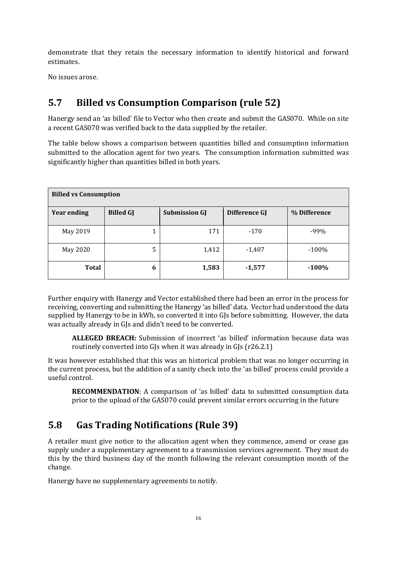demonstrate that they retain the necessary information to identify historical and forward estimates.

No issues arose.

## <span id="page-15-0"></span>**5.7 Billed vs Consumption Comparison (rule 52)**

Hanergy send an 'as billed' file to Vector who then create and submit the GAS070. While on site a recent GAS070 was verified back to the data supplied by the retailer.

The table below shows a comparison between quantities billed and consumption information submitted to the allocation agent for two years. The consumption information submitted was significantly higher than quantities billed in both years.

| <b>Billed vs Consumption</b> |                  |                      |               |              |
|------------------------------|------------------|----------------------|---------------|--------------|
| <b>Year ending</b>           | <b>Billed GJ</b> | <b>Submission GJ</b> | Difference GJ | % Difference |
| May 2019                     | 1                | 171                  | $-170$        | $-99%$       |
| May 2020                     | 5                | 1,412                | $-1,407$      | $-100%$      |
| <b>Total</b>                 | 6                | 1,583                | $-1,577$      | $-100%$      |

Further enquiry with Hanergy and Vector established there had been an error in the process for receiving, converting and submitting the Hanergy 'as billed' data. Vector had understood the data supplied by Hanergy to be in kWh, so converted it into GJs before submitting. However, the data was actually already in GJs and didn't need to be converted.

**ALLEGED BREACH:** Submission of incorrect 'as billed' information because data was routinely converted into GJs when it was already in GJs (r26.2.1)

It was however established that this was an historical problem that was no longer occurring in the current process, but the addition of a sanity check into the 'as billed' process could provide a useful control.

**RECOMMENDATION**: A comparison of 'as billed' data to submitted consumption data prior to the upload of the GAS070 could prevent similar errors occurring in the future

### <span id="page-15-1"></span>**5.8 Gas Trading Notifications (Rule 39)**

A retailer must give notice to the allocation agent when they commence, amend or cease gas supply under a supplementary agreement to a transmission services agreement. They must do this by the third business day of the month following the relevant consumption month of the change.

Hanergy have no supplementary agreements to notify.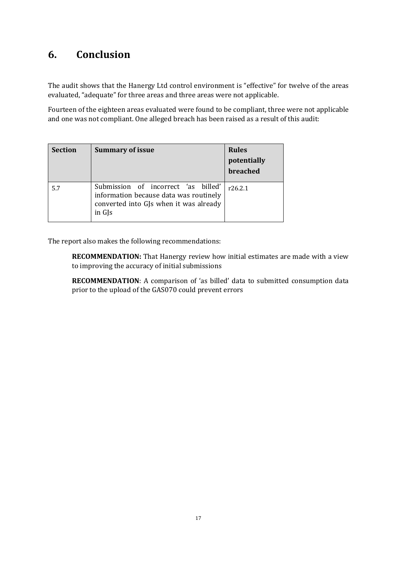#### <span id="page-16-0"></span>**6. Conclusion**

The audit shows that the Hanergy Ltd control environment is "effective" for twelve of the areas evaluated, "adequate" for three areas and three areas were not applicable.

Fourteen of the eighteen areas evaluated were found to be compliant, three were not applicable and one was not compliant. One alleged breach has been raised as a result of this audit:

| <b>Section</b> | <b>Summary of issue</b>                                                                                                           | <b>Rules</b><br>potentially<br>breached |
|----------------|-----------------------------------------------------------------------------------------------------------------------------------|-----------------------------------------|
| 5.7            | Submission of incorrect 'as billed'<br>information because data was routinely<br>converted into GJs when it was already<br>in GJs | r26.2.1                                 |

The report also makes the following recommendations:

**RECOMMENDATION:** That Hanergy review how initial estimates are made with a view to improving the accuracy of initial submissions

**RECOMMENDATION**: A comparison of 'as billed' data to submitted consumption data prior to the upload of the GAS070 could prevent errors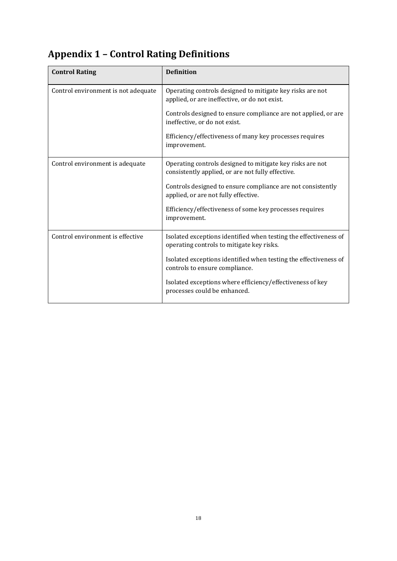# <span id="page-17-0"></span>**Appendix 1 – Control Rating Definitions**

| <b>Control Rating</b>               | <b>Definition</b>                                                                                              |
|-------------------------------------|----------------------------------------------------------------------------------------------------------------|
| Control environment is not adequate | Operating controls designed to mitigate key risks are not<br>applied, or are ineffective, or do not exist.     |
|                                     | Controls designed to ensure compliance are not applied, or are<br>ineffective, or do not exist.                |
|                                     | Efficiency/effectiveness of many key processes requires<br>improvement.                                        |
| Control environment is adequate     | Operating controls designed to mitigate key risks are not<br>consistently applied, or are not fully effective. |
|                                     | Controls designed to ensure compliance are not consistently<br>applied, or are not fully effective.            |
|                                     | Efficiency/effectiveness of some key processes requires<br>improvement.                                        |
| Control environment is effective    | Isolated exceptions identified when testing the effectiveness of<br>operating controls to mitigate key risks.  |
|                                     | Isolated exceptions identified when testing the effectiveness of<br>controls to ensure compliance.             |
|                                     | Isolated exceptions where efficiency/effectiveness of key<br>processes could be enhanced.                      |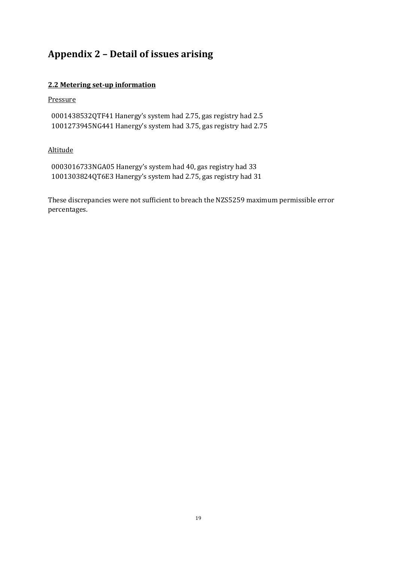### <span id="page-18-0"></span>**Appendix 2 – Detail of issues arising**

#### **2.2 Metering set-up information**

#### Pressure

0001438532QTF41 Hanergy's system had 2.75, gas registry had 2.5 1001273945NG441 Hanergy's system had 3.75, gas registry had 2.75

#### Altitude

0003016733NGA05 Hanergy's system had 40, gas registry had 33 1001303824QT6E3 Hanergy's system had 2.75, gas registry had 31

These discrepancies were not sufficient to breach the NZS5259 maximum permissible error percentages.